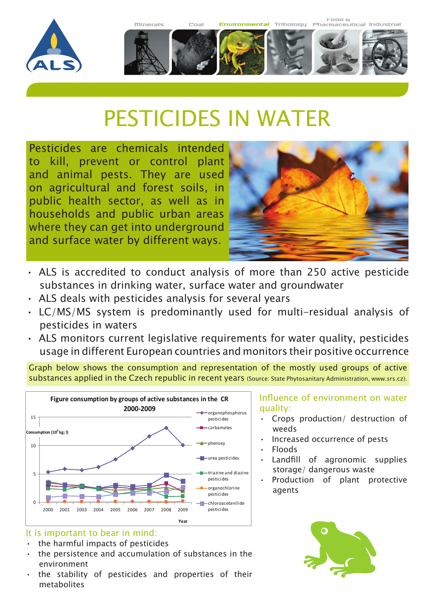



# PESTICIDES IN WATER

Pesticides are chemicals intended to kill, prevent or control plant and animal pests. They are used on agricultural and forest soils, in public health sector, as well as in households and public urban areas where they can get into underground and surface water by different ways.



- ALS is accredited to conduct analysis of more than 250 active pesticide substances in drinking water, surface water and groundwater
- ALS deals with pesticides analysis for several years
- • LC/MS/MS system is predominantly used for multi-residual analysis of pesticides in waters
- ALS monitors current legislative requirements for water quality, pesticides usage in different European countries and monitors their positive occurrence

Graph below shows the consumption and representation of the mostly used groups of active substances applied in the Czech republic in recent years (Source: State Phytosanitary Administration, www.srs.cz).



# It is important to bear in mind:

- the harmful impacts of pesticides
- the persistence and accumulation of substances in the environment
- the stability of pesticides and properties of their metabolites

#### Influence of environment on water quality:

- Crops production/ destruction of weeds
- Increased occurrence of pests
- • Floods
- Landfill of agronomic supplies storage/ dangerous waste
- • Production of plant protective agents